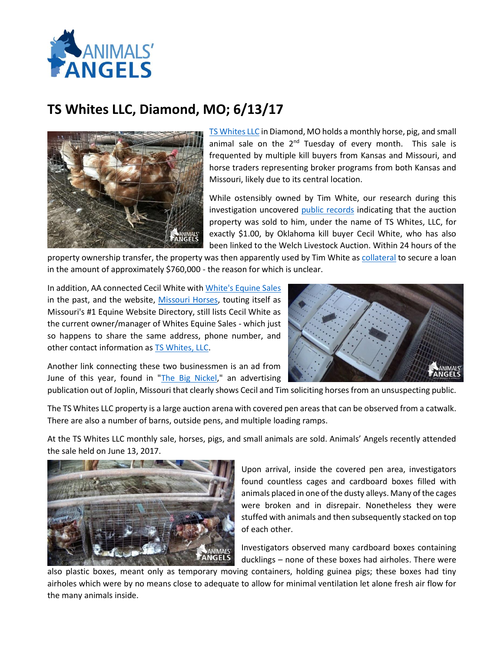

## **TS Whites LLC, Diamond, MO; 6/13/17**



[TS Whites](http://www.tswhitesllc.com/) LLC in Diamond, MO holds a monthly horse, pig, and small animal sale on the  $2^{nd}$  Tuesday of every month. This sale is frequented by multiple kill buyers from Kansas and Missouri, and horse traders representing broker programs from both Kansas and Missouri, likely due to its central location.

While ostensibly owned by Tim White, our research during this investigation uncovered [public records](http://www.animalsangels.org/sites/animalsangels.org/files/images/TS%20Whites%20LLC%20property%20transfer.pdf) indicating that the auction property was sold to him, under the name of TS Whites, LLC, for exactly \$1.00, by Oklahoma kill buyer Cecil White, who has also been linked to the Welch Livestock Auction. Within 24 hours of the

property ownership transfer, the property was then apparently used by Tim White a[s collateral](http://www.animalsangels.org/sites/animalsangels.org/files/images/TS%20Whites%20LLC%20property%20transfer.pdf) to secure a loan in the amount of approximately \$760,000 - the reason for which is unclear.

In addition, AA connected Cecil White wit[h White's Equine Sales](http://www.animalsangels.org/investigations/horses/cecil-white-collecting-station-welch-ok-7-3-13) in the past, and the website, [Missouri Horses,](http://www.mohorses.com/horseauctions.html) touting itself as Missouri's #1 Equine Website Directory, still lists Cecil White as the current owner/manager of Whites Equine Sales - which just so happens to share the same address, phone number, and other contact information as **TS Whites, LLC.** 



Another link connecting these two businessmen is an ad from June of this year, found in ["The Big Nickel,](http://www.animalsangels.org/sites/animalsangels.org/files/images/Ad%20for%20Cecil%20White%20and%20Tim%20White.pdf)" an advertising

publication out of Joplin, Missouri that clearly shows Cecil and Tim soliciting horses from an unsuspecting public.

The TS Whites LLC property is a large auction arena with covered pen areas that can be observed from a catwalk. There are also a number of barns, outside pens, and multiple loading ramps.

At the TS Whites LLC monthly sale, horses, pigs, and small animals are sold. Animals' Angels recently attended the sale held on June 13, 2017.



Upon arrival, inside the covered pen area, investigators found countless cages and cardboard boxes filled with animals placed in one of the dusty alleys. Many of the cages were broken and in disrepair. Nonetheless they were stuffed with animals and then subsequently stacked on top of each other.

Investigators observed many cardboard boxes containing ducklings – none of these boxes had airholes. There were

also plastic boxes, meant only as temporary moving containers, holding guinea pigs; these boxes had tiny airholes which were by no means close to adequate to allow for minimal ventilation let alone fresh air flow for the many animals inside.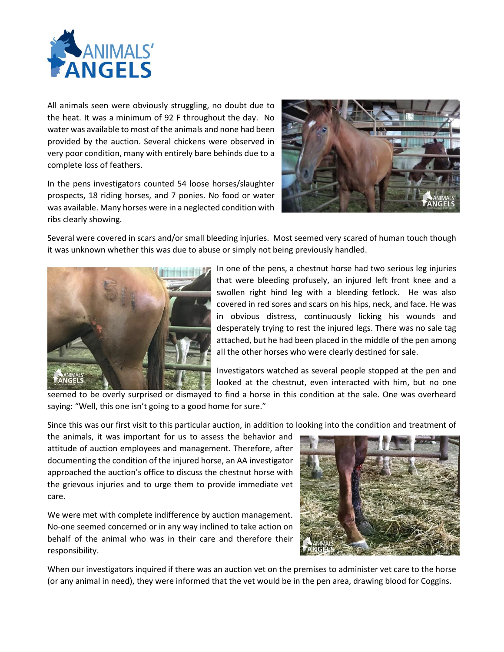

All animals seen were obviously struggling, no doubt due to the heat. It was a minimum of 92 F throughout the day. No water was available to most of the animals and none had been provided by the auction. Several chickens were observed in very poor condition, many with entirely bare behinds due to a complete loss of feathers.

In the pens investigators counted 54 loose horses/slaughter prospects, 18 riding horses, and 7 ponies. No food or water was available. Many horses were in a neglected condition with ribs clearly showing.



Several were covered in scars and/or small bleeding injuries. Most seemed very scared of human touch though it was unknown whether this was due to abuse or simply not being previously handled.



In one of the pens, a chestnut horse had two serious leg injuries that were bleeding profusely, an injured left front knee and a swollen right hind leg with a bleeding fetlock. He was also covered in red sores and scars on his hips, neck, and face. He was in obvious distress, continuously licking his wounds and desperately trying to rest the injured legs. There was no sale tag attached, but he had been placed in the middle of the pen among all the other horses who were clearly destined for sale.

Investigators watched as several people stopped at the pen and looked at the chestnut, even interacted with him, but no one

seemed to be overly surprised or dismayed to find a horse in this condition at the sale. One was overheard saying: "Well, this one isn't going to a good home for sure."

Since this was our first visit to this particular auction, in addition to looking into the condition and treatment of

the animals, it was important for us to assess the behavior and attitude of auction employees and management. Therefore, after documenting the condition of the injured horse, an AA investigator approached the auction's office to discuss the chestnut horse with the grievous injuries and to urge them to provide immediate vet care.

We were met with complete indifference by auction management. No-one seemed concerned or in any way inclined to take action on behalf of the animal who was in their care and therefore their responsibility.



When our investigators inquired if there was an auction vet on the premises to administer vet care to the horse (or any animal in need), they were informed that the vet would be in the pen area, drawing blood for Coggins.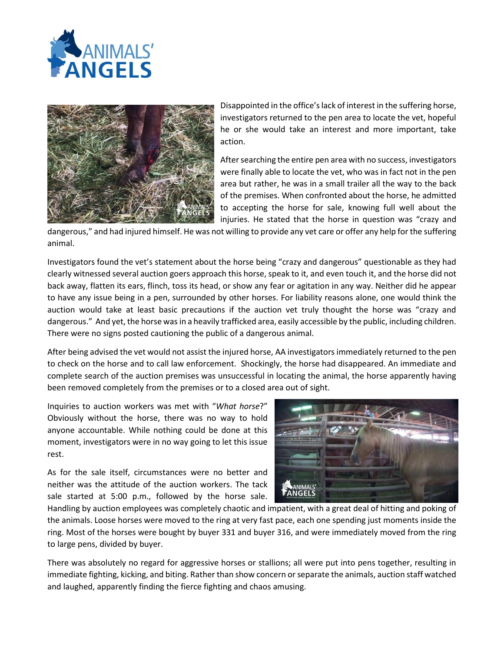



Disappointed in the office's lack of interest in the suffering horse, investigators returned to the pen area to locate the vet, hopeful he or she would take an interest and more important, take action.

After searching the entire pen area with no success, investigators were finally able to locate the vet, who was in fact not in the pen area but rather, he was in a small trailer all the way to the back of the premises. When confronted about the horse, he admitted to accepting the horse for sale, knowing full well about the injuries. He stated that the horse in question was "crazy and

dangerous," and had injured himself. He was not willing to provide any vet care or offer any help for the suffering animal.

Investigators found the vet's statement about the horse being "crazy and dangerous" questionable as they had clearly witnessed several auction goers approach this horse, speak to it, and even touch it, and the horse did not back away, flatten its ears, flinch, toss its head, or show any fear or agitation in any way. Neither did he appear to have any issue being in a pen, surrounded by other horses. For liability reasons alone, one would think the auction would take at least basic precautions if the auction vet truly thought the horse was "crazy and dangerous." And yet, the horse was in a heavily trafficked area, easily accessible by the public, including children. There were no signs posted cautioning the public of a dangerous animal.

After being advised the vet would not assist the injured horse, AA investigators immediately returned to the pen to check on the horse and to call law enforcement. Shockingly, the horse had disappeared. An immediate and complete search of the auction premises was unsuccessful in locating the animal, the horse apparently having been removed completely from the premises or to a closed area out of sight.

Inquiries to auction workers was met with "*What horse*?" Obviously without the horse, there was no way to hold anyone accountable. While nothing could be done at this moment, investigators were in no way going to let this issue rest.

As for the sale itself, circumstances were no better and neither was the attitude of the auction workers. The tack sale started at 5:00 p.m., followed by the horse sale.



Handling by auction employees was completely chaotic and impatient, with a great deal of hitting and poking of the animals. Loose horses were moved to the ring at very fast pace, each one spending just moments inside the ring. Most of the horses were bought by buyer 331 and buyer 316, and were immediately moved from the ring to large pens, divided by buyer.

There was absolutely no regard for aggressive horses or stallions; all were put into pens together, resulting in immediate fighting, kicking, and biting. Rather than show concern or separate the animals, auction staff watched and laughed, apparently finding the fierce fighting and chaos amusing.